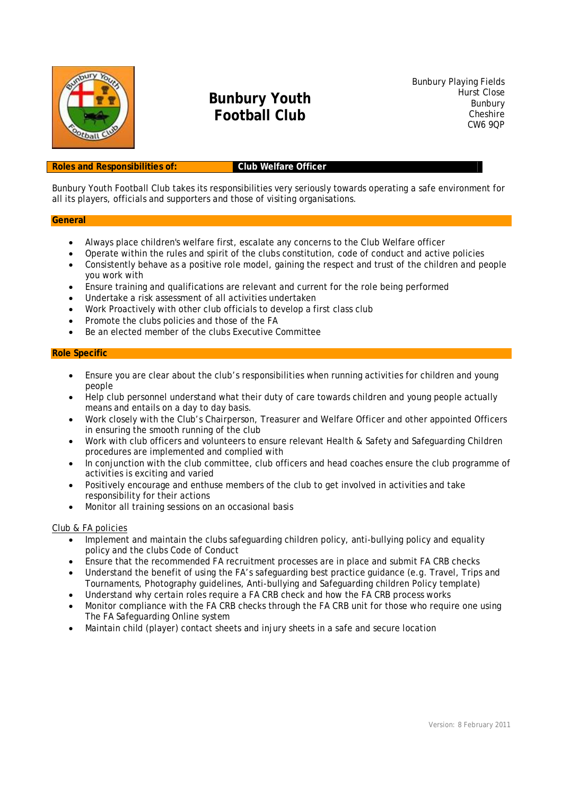

## **Bunbury Youth Football Club**

Bunbury Playing Fields Hurst Close Bunbury **Cheshire** CW6 9QP

#### **Roles and Responsibilities of: Club Welfare Officer**

Bunbury Youth Football Club takes its responsibilities very seriously towards operating a safe environment for all its players, officials and supporters and those of visiting organisations.

#### **General**

- Always place children's welfare first, escalate any concerns to the Club Welfare officer
- Operate within the rules and spirit of the clubs constitution, code of conduct and active policies
- Consistently behave as a positive role model, gaining the respect and trust of the children and people you work with
- Ensure training and qualifications are relevant and current for the role being performed
- Undertake a risk assessment of all activities undertaken
- Work Proactively with other club officials to develop a first class club
- Promote the clubs policies and those of the FA
- Be an elected member of the clubs Executive Committee

#### **Role Specific**

- Ensure you are clear about the club's responsibilities when running activities for children and young people
- Help club personnel understand what their duty of care towards children and young people actually means and entails on a day to day basis.
- Work closely with the Club's Chairperson, Treasurer and Welfare Officer and other appointed Officers in ensuring the smooth running of the club
- Work with club officers and volunteers to ensure relevant Health & Safety and Safeguarding Children procedures are implemented and complied with
- In conjunction with the club committee, club officers and head coaches ensure the club programme of activities is exciting and varied
- Positively encourage and enthuse members of the club to get involved in activities and take responsibility for their actions
- Monitor all training sessions on an occasional basis

#### Club & FA policies

- Implement and maintain the clubs safeguarding children policy, anti-bullying policy and equality policy and the clubs Code of Conduct
- Ensure that the recommended FA recruitment processes are in place and submit FA CRB checks
- Understand the benefit of using the FA's safeguarding best practice guidance (e.g. Travel, Trips and Tournaments, Photography guidelines, Anti-bullying and Safeguarding children Policy template)
- Understand why certain roles require a FA CRB check and how the FA CRB process works
- Monitor compliance with the FA CRB checks through the FA CRB unit for those who require one using The FA Safeguarding Online system
- Maintain child (player) contact sheets and injury sheets in a safe and secure location